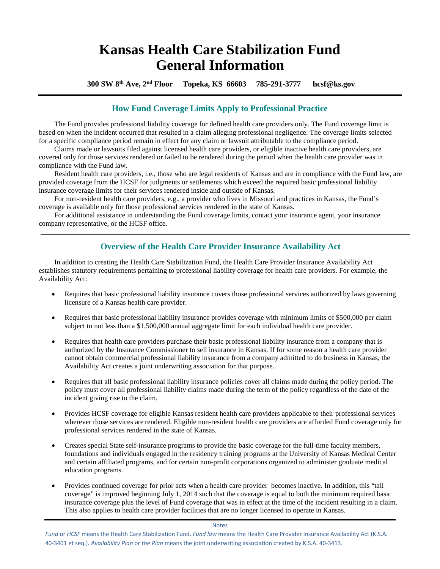# **Kansas Health Care Stabilization Fund General Information**

 **300 SW 8th Ave, 2nd Floor Topeka, KS 66603 785-291-3777 hcsf@ks.gov**

# **How Fund Coverage Limits Apply to Professional Practice**

The Fund provides professional liability coverage for defined health care providers only. The Fund coverage limit is based on when the incident occurred that resulted in a claim alleging professional negligence. The coverage limits selected for a specific compliance period remain in effect for any claim or lawsuit attributable to the compliance period.

Claims made or lawsuits filed against licensed health care providers, or eligible inactive health care providers, are covered only for those services rendered or failed to be rendered during the period when the health care provider was in compliance with the Fund law.

Resident health care providers, i.e., those who are legal residents of Kansas and are in compliance with the Fund law, are provided coverage from the HCSF for judgments or settlements which exceed the required basic professional liability insurance coverage limits for their services rendered inside and outside of Kansas.

For non-resident health care providers, e.g., a provider who lives in Missouri and practices in Kansas, the Fund's coverage is available only for those professional services rendered in the state of Kansas.

For additional assistance in understanding the Fund coverage limits, contact your insurance agent, your insurance company representative, or the HCSF office.

# **Overview of the Health Care Provider Insurance Availability Act**

In addition to creating the Health Care Stabilization Fund, the Health Care Provider Insurance Availability Act establishes statutory requirements pertaining to professional liability coverage for health care providers. For example, the Availability Act:

- Requires that basic professional liability insurance covers those professional services authorized by laws governing licensure of a Kansas health care provider.
- Requires that basic professional liability insurance provides coverage with minimum limits of \$500,000 per claim subject to not less than a \$1,500,000 annual aggregate limit for each individual health care provider.
- Requires that health care providers purchase their basic professional liability insurance from a company that is authorized by the Insurance Commissioner to sell insurance in Kansas. If for some reason a health care provider cannot obtain commercial professional liability insurance from a company admitted to do business in Kansas, the Availability Act creates a joint underwriting association for that purpose.
- Requires that all basic professional liability insurance policies cover all claims made during the policy period. The policy must cover all professional liability claims made during the term of the policy regardless of the date of the incident giving rise to the claim.
- Provides HCSF coverage for eligible Kansas resident health care providers applicable to their professional services wherever those services are rendered. Eligible non-resident health care providers are afforded Fund coverage only for professional services rendered in the state of Kansas.
- Creates special State self-insurance programs to provide the basic coverage for the full-time faculty members, foundations and individuals engaged in the residency training programs at the University of Kansas Medical Center and certain affiliated programs, and for certain non-profit corporations organized to administer graduate medical education programs.
- Provides continued coverage for prior acts when a health care provider becomes inactive. In addition, this "tail coverage" is improved beginning July 1, 2014 such that the coverage is equal to both the minimum required basic insurance coverage plus the level of Fund coverage that was in effect at the time of the incident resulting in a claim. This also applies to health care provider facilities that are no longer licensed to operate in Kansas.

Notes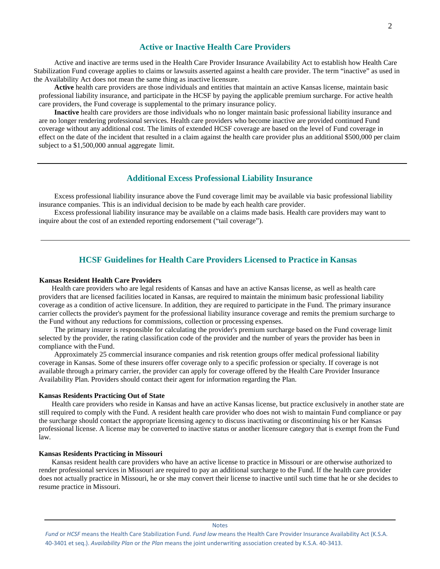Active and inactive are terms used in the Health Care Provider Insurance Availability Act to establish how Health Care Stabilization Fund coverage applies to claims or lawsuits asserted against a health care provider. The term "inactive" as used in the Availability Act does not mean the same thing as inactive licensure.

**Active** health care providers are those individuals and entities that maintain an active Kansas license, maintain basic professional liability insurance, and participate in the HCSF by paying the applicable premium surcharge. For active health care providers, the Fund coverage is supplemental to the primary insurance policy.

**Inactive** health care providers are those individuals who no longer maintain basic professional liability insurance and are no longer rendering professional services. Health care providers who become inactive are provided continued Fund coverage without any additional cost. The limits of extended HCSF coverage are based on the level of Fund coverage in effect on the date of the incident that resulted in a claim against the health care provider plus an additional \$500,000 per claim subject to a \$1,500,000 annual aggregate limit.

### **Additional Excess Professional Liability Insurance**

Excess professional liability insurance above the Fund coverage limit may be available via basic professional liability insurance companies. This is an individual decision to be made by each health care provider.

Excess professional liability insurance may be available on a claims made basis. Health care providers may want to inquire about the cost of an extended reporting endorsement ("tail coverage").

### **HCSF Guidelines for Health Care Providers Licensed to Practice in Kansas**

### **Kansas Resident Health Care Providers**

Health care providers who are legal residents of Kansas and have an active Kansas license, as well as health care providers that are licensed facilities located in Kansas, are required to maintain the minimum basic professional liability coverage as a condition of active licensure. In addition, they are required to participate in the Fund. The primary insurance carrier collects the provider's payment for the professional liability insurance coverage and remits the premium surcharge to the Fund without any reductions for commissions, collection or processing expenses.

The primary insurer is responsible for calculating the provider's premium surcharge based on the Fund coverage limit selected by the provider, the rating classification code of the provider and the number of years the provider has been in compliance with the Fund.

Approximately 25 commercial insurance companies and risk retention groups offer medical professional liability coverage in Kansas. Some of these insurers offer coverage only to a specific profession or specialty. If coverage is not available through a primary carrier, the provider can apply for coverage offered by the Health Care Provider Insurance Availability Plan. Providers should contact their agent for information regarding the Plan.

#### **Kansas Residents Practicing Out of State**

Health care providers who reside in Kansas and have an active Kansas license, but practice exclusively in another state are still required to comply with the Fund. A resident health care provider who does not wish to maintain Fund compliance or pay the surcharge should contact the appropriate licensing agency to discuss inactivating or discontinuing his or her Kansas professional license. A license may be converted to inactive status or another licensure category that is exempt from the Fund law.

#### **Kansas Residents Practicing in Missouri**

Kansas resident health care providers who have an active license to practice in Missouri or are otherwise authorized to render professional services in Missouri are required to pay an additional surcharge to the Fund. If the health care provider does not actually practice in Missouri, he or she may convert their license to inactive until such time that he or she decides to resume practice in Missouri.

Notes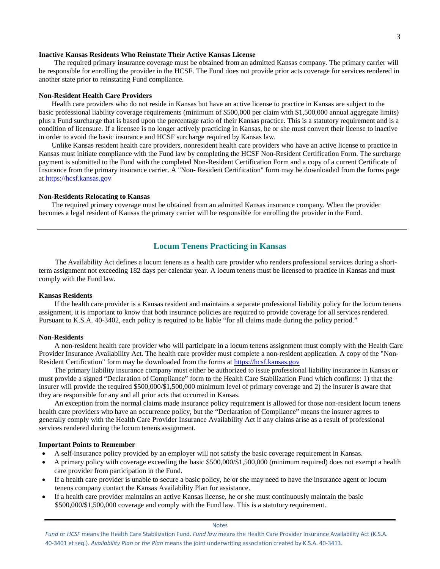#### **Inactive Kansas Residents Who Reinstate Their Active Kansas License**

The required primary insurance coverage must be obtained from an admitted Kansas company. The primary carrier will be responsible for enrolling the provider in the HCSF. The Fund does not provide prior acts coverage for services rendered in another state prior to reinstating Fund compliance.

### **Non-Resident Health Care Providers**

Health care providers who do not reside in Kansas but have an active license to practice in Kansas are subject to the basic professional liability coverage requirements (minimum of \$500,000 per claim with \$1,500,000 annual aggregate limits) plus a Fund surcharge that is based upon the percentage ratio of their Kansas practice. This is a statutory requirement and is a condition of licensure. If a licensee is no longer actively practicing in Kansas, he or she must convert their license to inactive in order to avoid the basic insurance and HCSF surcharge required by Kansas law.

Unlike Kansas resident health care providers, nonresident health care providers who have an active license to practice in Kansas must initiate compliance with the Fund law by completing the HCSF Non-Resident Certification Form. The surcharge payment is submitted to the Fund with the completed Non-Resident Certification Form and a copy of a current Certificate of Insurance from the primary insurance carrier. A "Non- Resident Certification" form may be downloaded from the forms page at [https://hcsf.kansas.gov](https://hcsf.kansas.gov/)

#### **Non-Residents Relocating to Kansas**

The required primary coverage must be obtained from an admitted Kansas insurance company. When the provider becomes a legal resident of Kansas the primary carrier will be responsible for enrolling the provider in the Fund.

### **Locum Tenens Practicing in Kansas**

The Availability Act defines a locum tenens as a health care provider who renders professional services during a shortterm assignment not exceeding 182 days per calendar year. A locum tenens must be licensed to practice in Kansas and must comply with the Fund law.

### **Kansas Residents**

If the health care provider is a Kansas resident and maintains a separate professional liability policy for the locum tenens assignment, it is important to know that both insurance policies are required to provide coverage for all services rendered. Pursuant to K.S.A. 40-3402, each policy is required to be liable "for all claims made during the policy period."

#### **Non-Residents**

A non-resident health care provider who will participate in a locum tenens assignment must comply with the Health Care Provider Insurance Availability Act. The health care provider must complete a non-resident application. A copy of the "Non-Resident Certification" form may be downloaded from the forms at [https://hcsf.kansas.gov](https://hcsf.kansas.gov/)

The primary liability insurance company must either be authorized to issue professional liability insurance in Kansas or must provide a signed "Declaration of Compliance" form to the Health Care Stabilization Fund which confirms: 1) that the insurer will provide the required \$500,000/\$1,500,000 minimum level of primary coverage and 2) the insurer is aware that they are responsible for any and all prior acts that occurred in Kansas.

An exception from the normal claims made insurance policy requirement is allowed for those non-resident locum tenens health care providers who have an occurrence policy, but the "Declaration of Compliance" means the insurer agrees to generally comply with the Health Care Provider Insurance Availability Act if any claims arise as a result of professional services rendered during the locum tenens assignment.

#### **Important Points to Remember**

- A self-insurance policy provided by an employer will not satisfy the basic coverage requirement in Kansas.
- A primary policy with coverage exceeding the basic \$500,000/\$1,500,000 (minimum required) does not exempt a health care provider from participation in the Fund.
- If a health care provider is unable to secure a basic policy, he or she may need to have the insurance agent or locum tenens company contact the Kansas Availability Plan for assistance.
- If a health care provider maintains an active Kansas license, he or she must continuously maintain the basic \$500,000/\$1,500,000 coverage and comply with the Fund law. This is a statutory requirement.

#### Notes